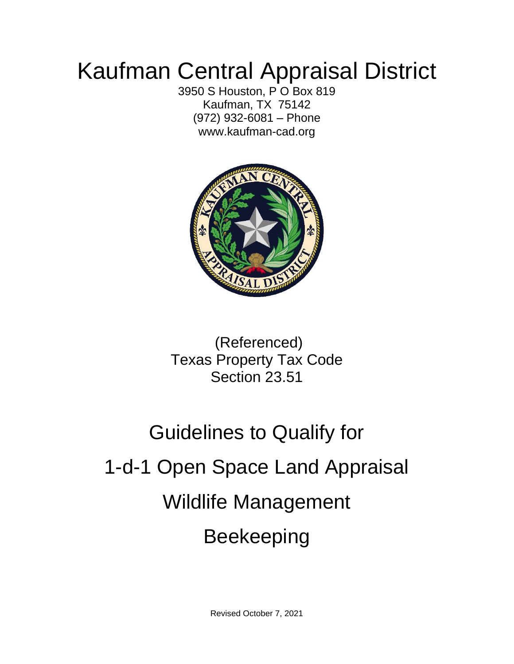## Kaufman Central Appraisal District

3950 S Houston, P O Box 819 Kaufman, TX 75142 (972) 932-6081 – Phone www.kaufman-cad.org



(Referenced) Texas Property Tax Code Section 23.51

# Guidelines to Qualify for 1-d-1 Open Space Land Appraisal Wildlife Management Beekeeping

Revised October 7, 2021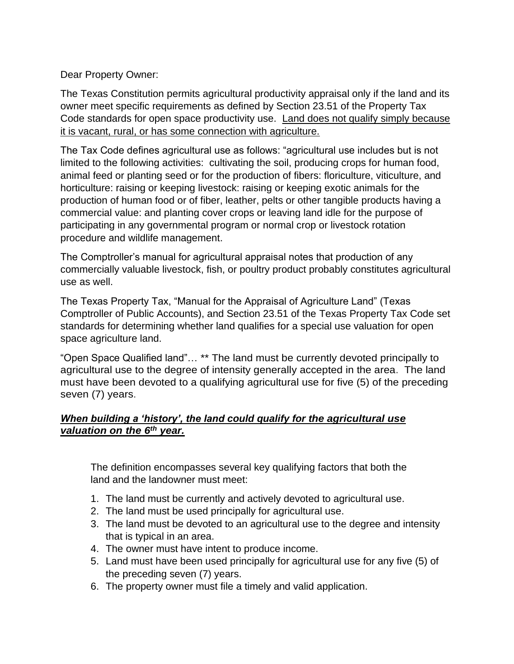Dear Property Owner:

The Texas Constitution permits agricultural productivity appraisal only if the land and its owner meet specific requirements as defined by Section 23.51 of the Property Tax Code standards for open space productivity use. Land does not qualify simply because it is vacant, rural, or has some connection with agriculture.

The Tax Code defines agricultural use as follows: "agricultural use includes but is not limited to the following activities: cultivating the soil, producing crops for human food, animal feed or planting seed or for the production of fibers: floriculture, viticulture, and horticulture: raising or keeping livestock: raising or keeping exotic animals for the production of human food or of fiber, leather, pelts or other tangible products having a commercial value: and planting cover crops or leaving land idle for the purpose of participating in any governmental program or normal crop or livestock rotation procedure and wildlife management.

The Comptroller's manual for agricultural appraisal notes that production of any commercially valuable livestock, fish, or poultry product probably constitutes agricultural use as well.

The Texas Property Tax, "Manual for the Appraisal of Agriculture Land" (Texas Comptroller of Public Accounts), and Section 23.51 of the Texas Property Tax Code set standards for determining whether land qualifies for a special use valuation for open space agriculture land.

"Open Space Qualified land"… \*\* The land must be currently devoted principally to agricultural use to the degree of intensity generally accepted in the area. The land must have been devoted to a qualifying agricultural use for five (5) of the preceding seven (7) years.

#### *When building a 'history', the land could qualify for the agricultural use valuation on the 6 th year.*

The definition encompasses several key qualifying factors that both the land and the landowner must meet:

- 1. The land must be currently and actively devoted to agricultural use.
- 2. The land must be used principally for agricultural use.
- 3. The land must be devoted to an agricultural use to the degree and intensity that is typical in an area.
- 4. The owner must have intent to produce income.
- 5. Land must have been used principally for agricultural use for any five (5) of the preceding seven (7) years.
- 6. The property owner must file a timely and valid application.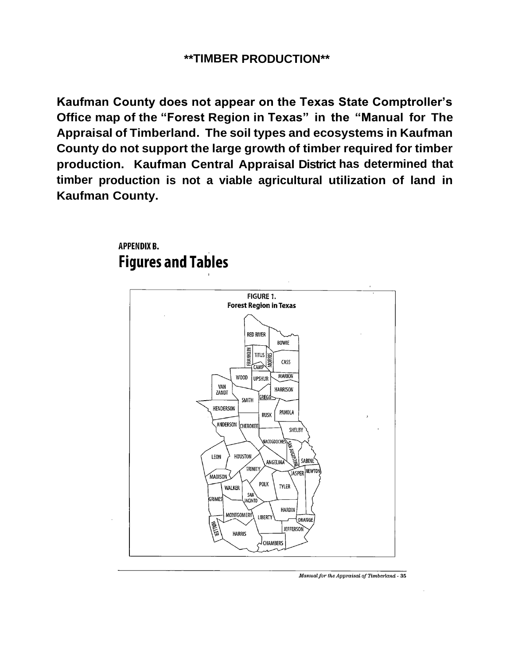**Kaufman County does not appear on the Texas State Comptroller's Office map of the "Forest Region in Texas" in the "Manual for The Appraisal of Timberland. The soil types and ecosystems in Kaufman County do not support the large growth of timber required for timber production. Kaufman Central Appraisal District has determined that timber production is not a viable agricultural utilization of land in Kaufman County.**

#### **APPENDIX B. Figures and Tables**



Manual for the Appraisal of Timberland - 35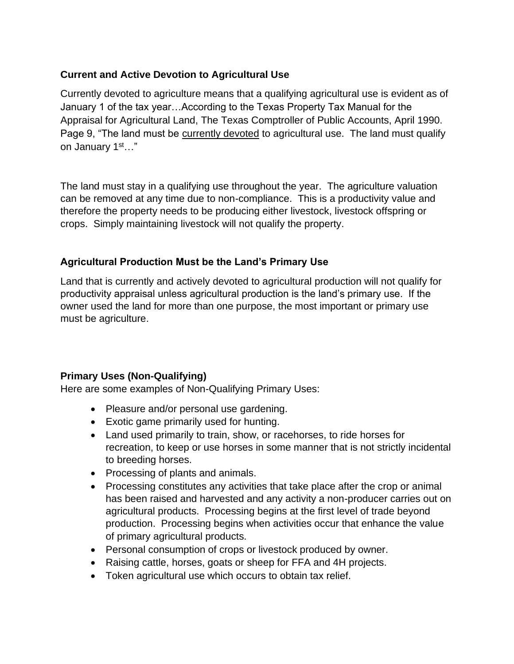#### **Current and Active Devotion to Agricultural Use**

Currently devoted to agriculture means that a qualifying agricultural use is evident as of January 1 of the tax year…According to the Texas Property Tax Manual for the Appraisal for Agricultural Land, The Texas Comptroller of Public Accounts, April 1990. Page 9, "The land must be currently devoted to agricultural use. The land must qualify on January 1st…"

The land must stay in a qualifying use throughout the year. The agriculture valuation can be removed at any time due to non-compliance. This is a productivity value and therefore the property needs to be producing either livestock, livestock offspring or crops. Simply maintaining livestock will not qualify the property.

#### **Agricultural Production Must be the Land's Primary Use**

Land that is currently and actively devoted to agricultural production will not qualify for productivity appraisal unless agricultural production is the land's primary use. If the owner used the land for more than one purpose, the most important or primary use must be agriculture.

#### **Primary Uses (Non-Qualifying)**

Here are some examples of Non-Qualifying Primary Uses:

- Pleasure and/or personal use gardening.
- Exotic game primarily used for hunting.
- Land used primarily to train, show, or racehorses, to ride horses for recreation, to keep or use horses in some manner that is not strictly incidental to breeding horses.
- Processing of plants and animals.
- Processing constitutes any activities that take place after the crop or animal has been raised and harvested and any activity a non-producer carries out on agricultural products. Processing begins at the first level of trade beyond production. Processing begins when activities occur that enhance the value of primary agricultural products.
- Personal consumption of crops or livestock produced by owner.
- Raising cattle, horses, goats or sheep for FFA and 4H projects.
- Token agricultural use which occurs to obtain tax relief.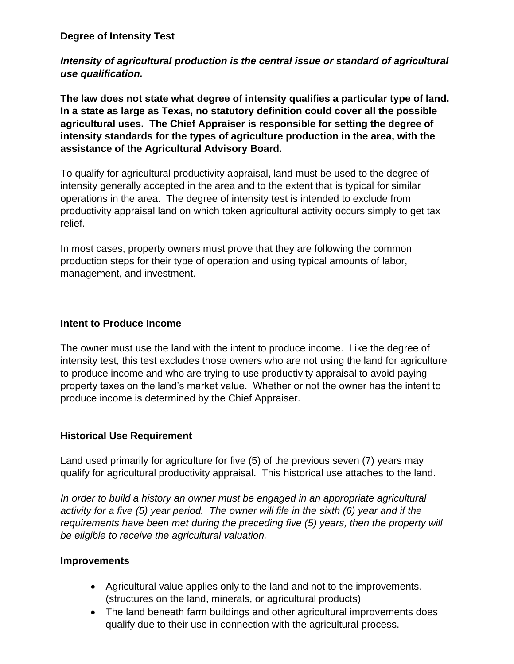*Intensity of agricultural production is the central issue or standard of agricultural use qualification.*

**The law does not state what degree of intensity qualifies a particular type of land. In a state as large as Texas, no statutory definition could cover all the possible agricultural uses. The Chief Appraiser is responsible for setting the degree of intensity standards for the types of agriculture production in the area, with the assistance of the Agricultural Advisory Board.**

To qualify for agricultural productivity appraisal, land must be used to the degree of intensity generally accepted in the area and to the extent that is typical for similar operations in the area. The degree of intensity test is intended to exclude from productivity appraisal land on which token agricultural activity occurs simply to get tax relief.

In most cases, property owners must prove that they are following the common production steps for their type of operation and using typical amounts of labor, management, and investment.

#### **Intent to Produce Income**

The owner must use the land with the intent to produce income. Like the degree of intensity test, this test excludes those owners who are not using the land for agriculture to produce income and who are trying to use productivity appraisal to avoid paying property taxes on the land's market value. Whether or not the owner has the intent to produce income is determined by the Chief Appraiser.

#### **Historical Use Requirement**

Land used primarily for agriculture for five (5) of the previous seven (7) years may qualify for agricultural productivity appraisal. This historical use attaches to the land.

*In order to build a history an owner must be engaged in an appropriate agricultural activity for a five (5) year period. The owner will file in the sixth (6) year and if the requirements have been met during the preceding five (5) years, then the property will be eligible to receive the agricultural valuation.*

#### **Improvements**

- Agricultural value applies only to the land and not to the improvements. (structures on the land, minerals, or agricultural products)
- The land beneath farm buildings and other agricultural improvements does qualify due to their use in connection with the agricultural process.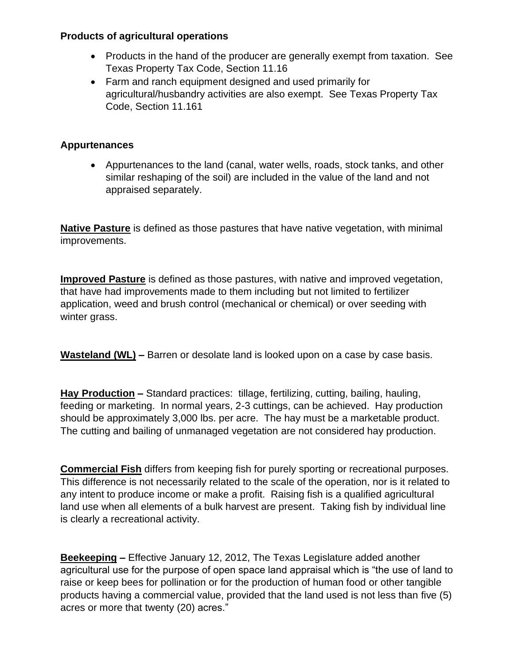#### **Products of agricultural operations**

- Products in the hand of the producer are generally exempt from taxation. See Texas Property Tax Code, Section 11.16
- Farm and ranch equipment designed and used primarily for agricultural/husbandry activities are also exempt. See Texas Property Tax Code, Section 11.161

#### **Appurtenances**

• Appurtenances to the land (canal, water wells, roads, stock tanks, and other similar reshaping of the soil) are included in the value of the land and not appraised separately.

**Native Pasture** is defined as those pastures that have native vegetation, with minimal improvements.

**Improved Pasture** is defined as those pastures, with native and improved vegetation, that have had improvements made to them including but not limited to fertilizer application, weed and brush control (mechanical or chemical) or over seeding with winter grass.

**Wasteland (WL) –** Barren or desolate land is looked upon on a case by case basis.

**Hay Production –** Standard practices: tillage, fertilizing, cutting, bailing, hauling, feeding or marketing. In normal years, 2-3 cuttings, can be achieved. Hay production should be approximately 3,000 lbs. per acre. The hay must be a marketable product. The cutting and bailing of unmanaged vegetation are not considered hay production.

**Commercial Fish** differs from keeping fish for purely sporting or recreational purposes. This difference is not necessarily related to the scale of the operation, nor is it related to any intent to produce income or make a profit. Raising fish is a qualified agricultural land use when all elements of a bulk harvest are present. Taking fish by individual line is clearly a recreational activity.

**Beekeeping –** Effective January 12, 2012, The Texas Legislature added another agricultural use for the purpose of open space land appraisal which is "the use of land to raise or keep bees for pollination or for the production of human food or other tangible products having a commercial value, provided that the land used is not less than five (5) acres or more that twenty (20) acres."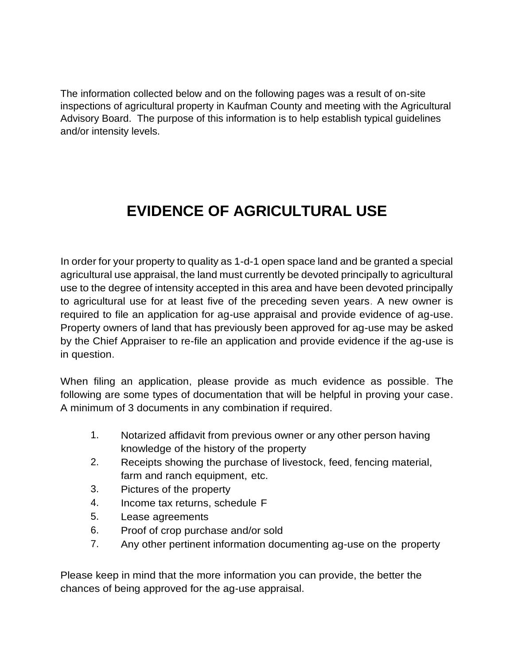The information collected below and on the following pages was a result of on-site inspections of agricultural property in Kaufman County and meeting with the Agricultural Advisory Board. The purpose of this information is to help establish typical guidelines and/or intensity levels.

## **EVIDENCE OF AGRICULTURAL USE**

In order for your property to quality as 1-d-1 open space land and be granted a special agricultural use appraisal, the land must currently be devoted principally to agricultural use to the degree of intensity accepted in this area and have been devoted principally to agricultural use for at least five of the preceding seven years. A new owner is required to file an application for ag-use appraisal and provide evidence of ag-use. Property owners of land that has previously been approved for ag-use may be asked by the Chief Appraiser to re-file an application and provide evidence if the ag-use is in question.

When filing an application, please provide as much evidence as possible. The following are some types of documentation that will be helpful in proving your case. A minimum of 3 documents in any combination if required.

- 1. Notarized affidavit from previous owner or any other person having knowledge of the history of the property
- 2. Receipts showing the purchase of livestock, feed, fencing material, farm and ranch equipment, etc.
- 3. Pictures of the property
- 4. Income tax returns, schedule F
- 5. Lease agreements
- 6. Proof of crop purchase and/or sold
- 7. Any other pertinent information documenting ag-use on the property

Please keep in mind that the more information you can provide, the better the chances of being approved for the ag-use appraisal.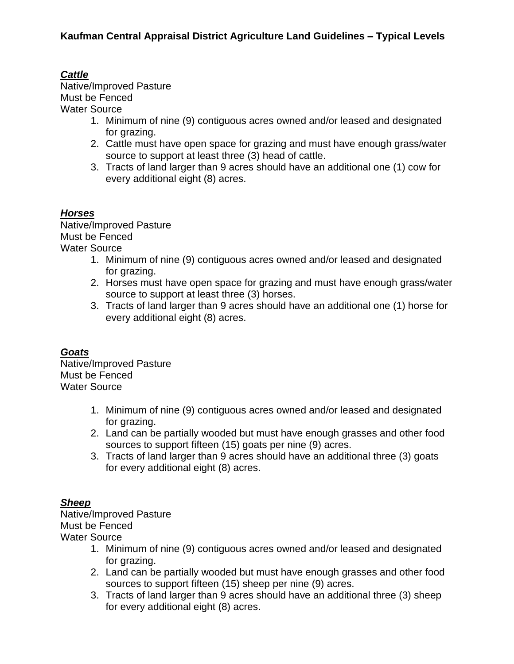#### *Cattle*

Native/Improved Pasture Must be Fenced Water Source

- 1. Minimum of nine (9) contiguous acres owned and/or leased and designated for grazing.
- 2. Cattle must have open space for grazing and must have enough grass/water source to support at least three (3) head of cattle.
- 3. Tracts of land larger than 9 acres should have an additional one (1) cow for every additional eight (8) acres.

#### *Horses*

Native/Improved Pasture Must be Fenced Water Source

- 1. Minimum of nine (9) contiguous acres owned and/or leased and designated for grazing.
- 2. Horses must have open space for grazing and must have enough grass/water source to support at least three (3) horses.
- 3. Tracts of land larger than 9 acres should have an additional one (1) horse for every additional eight (8) acres.

#### *Goats*

Native/Improved Pasture Must be Fenced Water Source

- 1. Minimum of nine (9) contiguous acres owned and/or leased and designated for grazing.
- 2. Land can be partially wooded but must have enough grasses and other food sources to support fifteen (15) goats per nine (9) acres.
- 3. Tracts of land larger than 9 acres should have an additional three (3) goats for every additional eight (8) acres.

#### *Sheep*

Native/Improved Pasture Must be Fenced Water Source

- 1. Minimum of nine (9) contiguous acres owned and/or leased and designated for grazing.
- 2. Land can be partially wooded but must have enough grasses and other food sources to support fifteen (15) sheep per nine (9) acres.
- 3. Tracts of land larger than 9 acres should have an additional three (3) sheep for every additional eight (8) acres.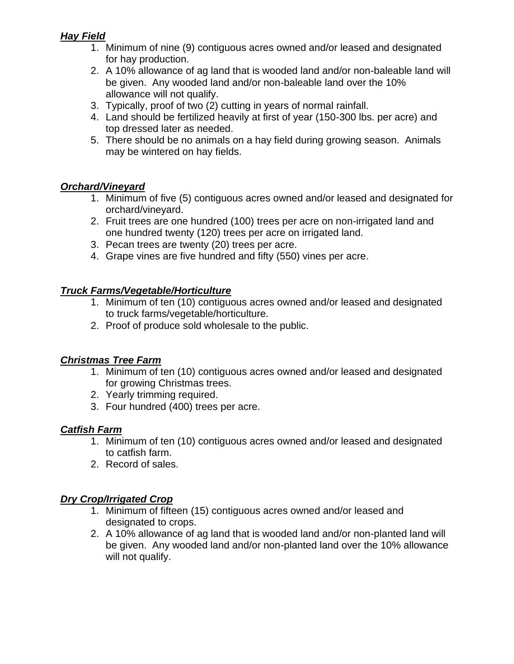#### *Hay Field*

- 1. Minimum of nine (9) contiguous acres owned and/or leased and designated for hay production.
- 2. A 10% allowance of ag land that is wooded land and/or non-baleable land will be given. Any wooded land and/or non-baleable land over the 10% allowance will not qualify.
- 3. Typically, proof of two (2) cutting in years of normal rainfall.
- 4. Land should be fertilized heavily at first of year (150-300 lbs. per acre) and top dressed later as needed.
- 5. There should be no animals on a hay field during growing season. Animals may be wintered on hay fields.

#### *Orchard/Vineyard*

- 1. Minimum of five (5) contiguous acres owned and/or leased and designated for orchard/vineyard.
- 2. Fruit trees are one hundred (100) trees per acre on non-irrigated land and one hundred twenty (120) trees per acre on irrigated land.
- 3. Pecan trees are twenty (20) trees per acre.
- 4. Grape vines are five hundred and fifty (550) vines per acre.

#### *Truck Farms/Vegetable/Horticulture*

- 1. Minimum of ten (10) contiguous acres owned and/or leased and designated to truck farms/vegetable/horticulture.
- 2. Proof of produce sold wholesale to the public.

#### *Christmas Tree Farm*

- 1. Minimum of ten (10) contiguous acres owned and/or leased and designated for growing Christmas trees.
- 2. Yearly trimming required.
- 3. Four hundred (400) trees per acre.

#### *Catfish Farm*

- 1. Minimum of ten (10) contiguous acres owned and/or leased and designated to catfish farm.
- 2. Record of sales.

#### *Dry Crop/Irrigated Crop*

- 1. Minimum of fifteen (15) contiguous acres owned and/or leased and designated to crops.
- 2. A 10% allowance of ag land that is wooded land and/or non-planted land will be given. Any wooded land and/or non-planted land over the 10% allowance will not qualify.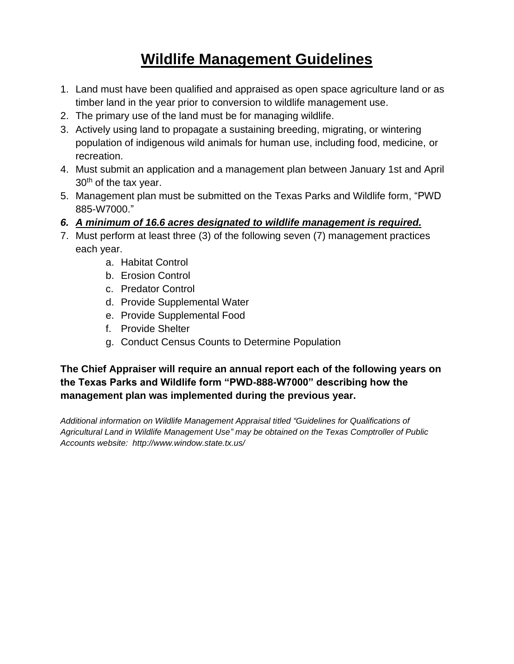### **Wildlife Management Guidelines**

- 1. Land must have been qualified and appraised as open space agriculture land or as timber land in the year prior to conversion to wildlife management use.
- 2. The primary use of the land must be for managing wildlife.
- 3. Actively using land to propagate a sustaining breeding, migrating, or wintering population of indigenous wild animals for human use, including food, medicine, or recreation.
- 4. Must submit an application and a management plan between January 1st and April  $30<sup>th</sup>$  of the tax year.
- 5. Management plan must be submitted on the Texas Parks and Wildlife form, "PWD 885-W7000."
- *6. A minimum of 16.6 acres designated to wildlife management is required.*
- 7. Must perform at least three (3) of the following seven (7) management practices each year.
	- a. Habitat Control
	- b. Erosion Control
	- c. Predator Control
	- d. Provide Supplemental Water
	- e. Provide Supplemental Food
	- f. Provide Shelter
	- g. Conduct Census Counts to Determine Population

#### **The Chief Appraiser will require an annual report each of the following years on the Texas Parks and Wildlife form "PWD-888-W7000" describing how the management plan was implemented during the previous year.**

*Additional information on Wildlife Management Appraisal titled "Guidelines for Qualifications of Agricultural Land in Wildlife Management Use" may be obtained on the Texas Comptroller of Public Accounts website: http://www.window.state.tx.us/*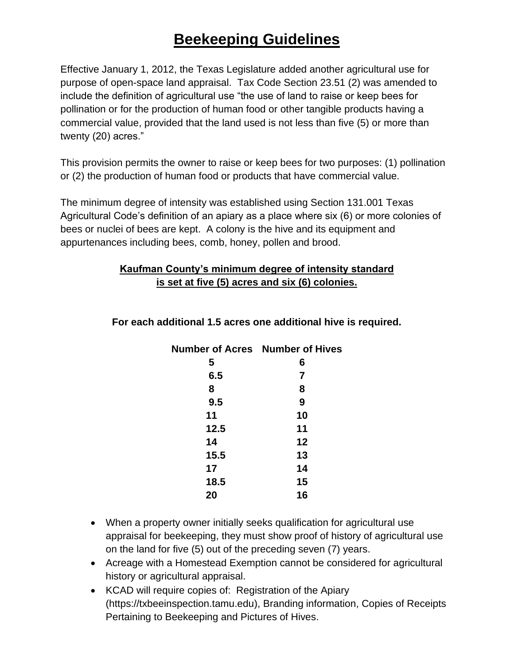## **Beekeeping Guidelines**

Effective January 1, 2012, the Texas Legislature added another agricultural use for purpose of open-space land appraisal. Tax Code Section 23.51 (2) was amended to include the definition of agricultural use "the use of land to raise or keep bees for pollination or for the production of human food or other tangible products having a commercial value, provided that the land used is not less than five (5) or more than twenty (20) acres."

This provision permits the owner to raise or keep bees for two purposes: (1) pollination or (2) the production of human food or products that have commercial value.

The minimum degree of intensity was established using Section 131.001 Texas Agricultural Code's definition of an apiary as a place where six (6) or more colonies of bees or nuclei of bees are kept. A colony is the hive and its equipment and appurtenances including bees, comb, honey, pollen and brood.

#### **Kaufman County's minimum degree of intensity standard is set at five (5) acres and six (6) colonies.**

| <b>Number of Acres</b> Number of Hives |    |
|----------------------------------------|----|
| 5                                      | 6  |
| 6.5                                    | 7  |
| 8                                      | 8  |
| 9.5                                    | 9  |
| 11                                     | 10 |
| 12.5                                   | 11 |
| 14                                     | 12 |
| 15.5                                   | 13 |
| 17                                     | 14 |
| 18.5                                   | 15 |
| 20                                     | 16 |
|                                        |    |

#### **For each additional 1.5 acres one additional hive is required.**

- When a property owner initially seeks qualification for agricultural use appraisal for beekeeping, they must show proof of history of agricultural use on the land for five (5) out of the preceding seven (7) years.
- Acreage with a Homestead Exemption cannot be considered for agricultural history or agricultural appraisal.
- KCAD will require copies of: Registration of the Apiary (https://txbeeinspection.tamu.edu), Branding information, Copies of Receipts Pertaining to Beekeeping and Pictures of Hives.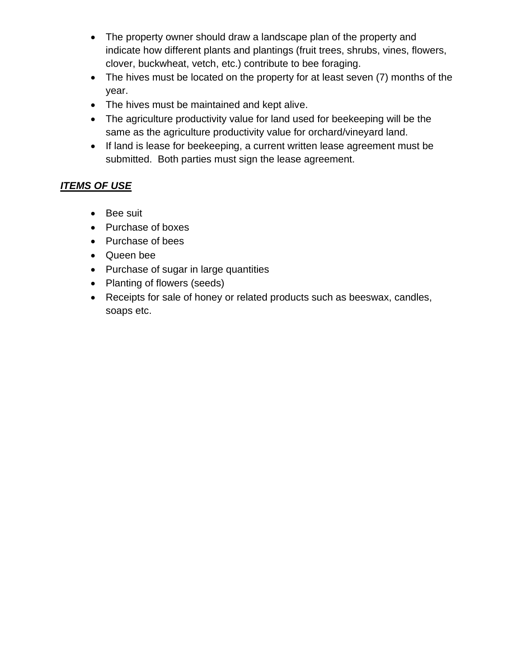- The property owner should draw a landscape plan of the property and indicate how different plants and plantings (fruit trees, shrubs, vines, flowers, clover, buckwheat, vetch, etc.) contribute to bee foraging.
- The hives must be located on the property for at least seven (7) months of the year.
- The hives must be maintained and kept alive.
- The agriculture productivity value for land used for beekeeping will be the same as the agriculture productivity value for orchard/vineyard land.
- If land is lease for beekeeping, a current written lease agreement must be submitted. Both parties must sign the lease agreement.

#### *ITEMS OF USE*

- Bee suit
- Purchase of boxes
- Purchase of bees
- Queen bee
- Purchase of sugar in large quantities
- Planting of flowers (seeds)
- Receipts for sale of honey or related products such as beeswax, candles, soaps etc.